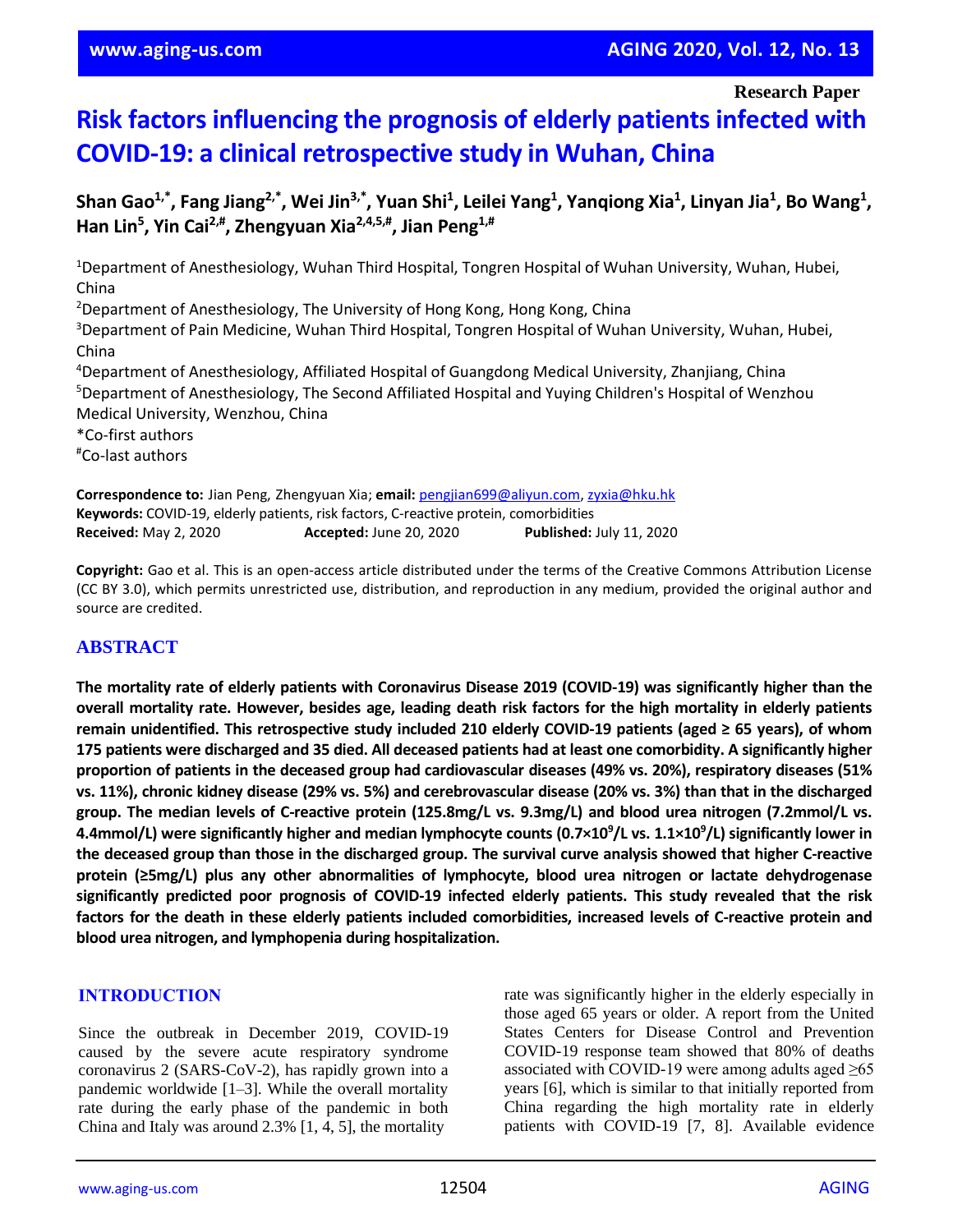**Research Paper**

# **Risk factors influencing the prognosis of elderly patients infected with COVID-19: a clinical retrospective study in Wuhan, China**

Shan Gao<sup>1,\*</sup>, Fang Jiang<sup>2,\*</sup>, Wei Jin<sup>3,\*</sup>, Yuan Shi<sup>1</sup>, Leilei Yang<sup>1</sup>, Yanqiong Xia<sup>1</sup>, Linyan Jia<sup>1</sup>, Bo Wang<sup>1</sup>, **Han Lin<sup>5</sup> , Yin Cai2,# , Zhengyuan Xia2,4,5,# , Jian Peng1,#**

<sup>1</sup>Department of Anesthesiology, Wuhan Third Hospital, Tongren Hospital of Wuhan University, Wuhan, Hubei, China <sup>2</sup>Department of Anesthesiology, The University of Hong Kong, Hong Kong, China <sup>3</sup>Department of Pain Medicine, Wuhan Third Hospital, Tongren Hospital of Wuhan University, Wuhan, Hubei, China <sup>4</sup>Department of Anesthesiology, Affiliated Hospital of Guangdong Medical University, Zhanjiang, China <sup>5</sup>Department of Anesthesiology, The Second Affiliated Hospital and Yuying Children's Hospital of Wenzhou Medical University, Wenzhou, China \*Co-first authors #Co-last authors

**Correspondence to:** Jian Peng, Zhengyuan Xia; **email:** [pengjian699@aliyun.com,](mailto:pengjian699@aliyun.com) [zyxia@hku.hk](mailto:zyxia@hku.hk) **Keywords:** COVID-19, elderly patients, risk factors, C-reactive protein, comorbidities **Received:** May 2, 2020 **Accepted:** June 20, 2020 **Published:** July 11, 2020

**Copyright:** Gao et al. This is an open-access article distributed under the terms of the Creative Commons Attribution License (CC BY 3.0), which permits unrestricted use, distribution, and reproduction in any medium, provided the original author and source are credited.

# **ABSTRACT**

The mortality rate of elderly patients with Coronavirus Disease 2019 (COVID-19) was significantly higher than the overall mortality rate. However, besides age, leading death risk factors for the high mortality in elderly patients **remain unidentified. This retrospective study included 210 elderly COVID-19 patients (aged ≥ 65 years), of whom** 175 patients were discharged and 35 died. All deceased patients had at least one comorbidity. A significantly higher proportion of patients in the deceased group had cardiovascular diseases (49% vs. 20%), respiratory diseases (51% vs. 11%), chronic kidney disease (29% vs. 5%) and cerebrovascular disease (20% vs. 3%) than that in the discharged **group. The median levels of C-reactive protein (125.8mg/L vs. 9.3mg/L) and blood urea nitrogen (7.2mmol/L vs.** 4.4mmol/L) were significantly higher and median lymphocyte counts (0.7×10 $^9$ /L vs. 1.1×10 $^9$ /L) significantly lower in the deceased group than those in the discharged group. The survival curve analysis showed that higher C-reactive **protein (≥5mg/L) plus any other abnormalities of lymphocyte, blood urea nitrogen or lactate dehydrogenase significantly predicted poor prognosis of COVID-19 infected elderly patients. This study revealed that the risk** factors for the death in these elderly patients included comorbidities, increased levels of C-reactive protein and **blood urea nitrogen, and lymphopenia during hospitalization.**

#### **INTRODUCTION**

Since the outbreak in December 2019, COVID-19 caused by the severe acute respiratory syndrome coronavirus 2 (SARS-CoV-2), has rapidly grown into a pandemic worldwide [1–3]. While the overall mortality rate during the early phase of the pandemic in both China and Italy was around 2.3% [1, 4, 5], the mortality

rate was significantly higher in the elderly especially in those aged 65 years or older. A report from the United States Centers for Disease Control and Prevention COVID-19 response team showed that 80% of deaths associated with COVID-19 were among adults aged  $\geq 65$ years [6], which is similar to that initially reported from China regarding the high mortality rate in elderly patients with COVID-19 [7, 8]. Available evidence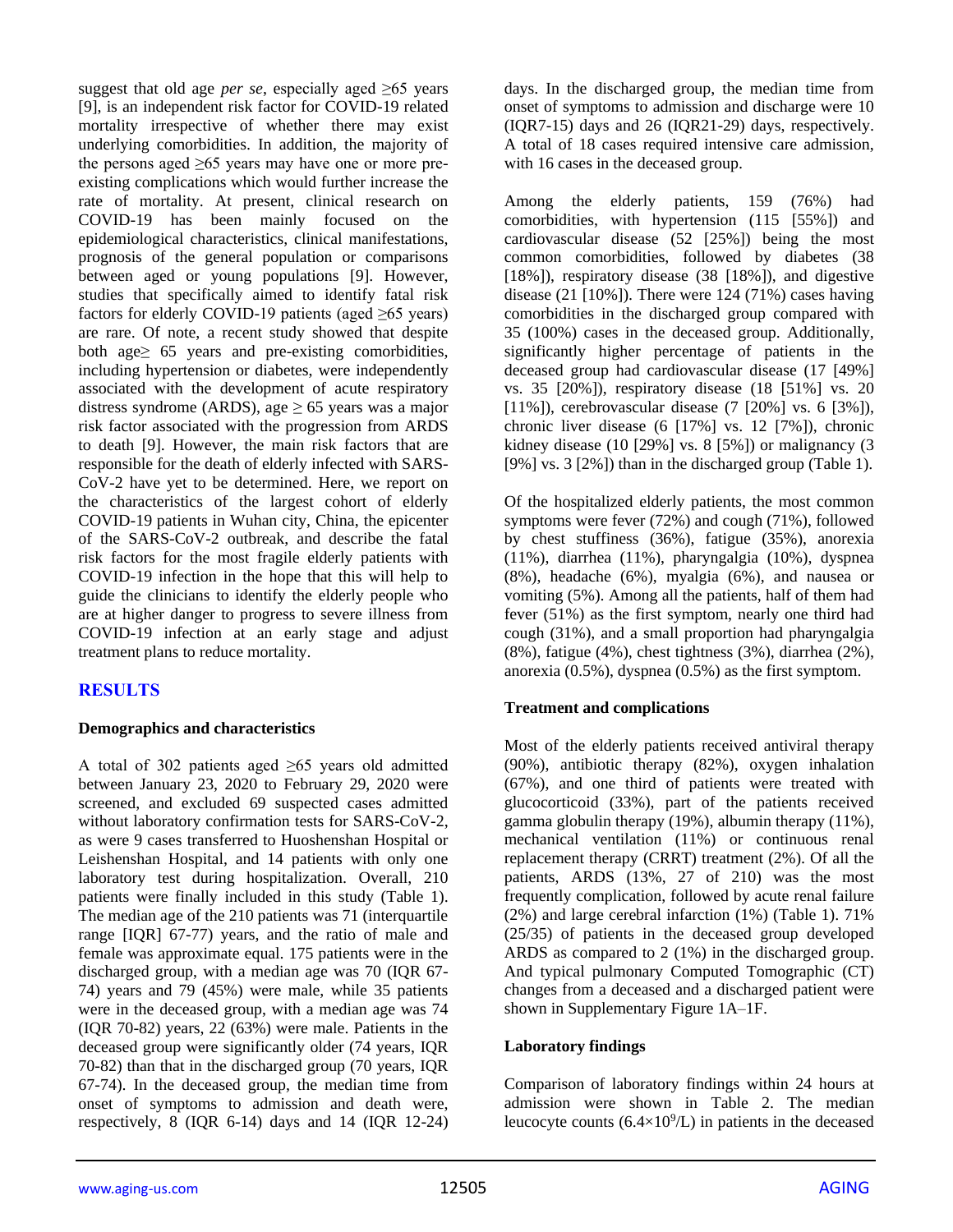suggest that old age *per se*, especially aged ≥65 years [9], is an independent risk factor for COVID-19 related mortality irrespective of whether there may exist underlying comorbidities. In addition, the majority of the persons aged  $\geq 65$  years may have one or more preexisting complications which would further increase the rate of mortality. At present, clinical research on COVID-19 has been mainly focused on the epidemiological characteristics, clinical manifestations, prognosis of the general population or comparisons between aged or young populations [9]. However, studies that specifically aimed to identify fatal risk factors for elderly COVID-19 patients (aged  $\geq 65$  years) are rare. Of note, a recent study showed that despite both age≥ 65 years and pre-existing comorbidities, including hypertension or diabetes, were independently associated with the development of acute respiratory distress syndrome (ARDS), age  $\geq$  65 years was a major risk factor associated with the progression from ARDS to death [9]. However, the main risk factors that are responsible for the death of elderly infected with SARS-CoV-2 have yet to be determined. Here, we report on the characteristics of the largest cohort of elderly COVID-19 patients in Wuhan city, China, the epicenter of the SARS-CoV-2 outbreak, and describe the fatal risk factors for the most fragile elderly patients with COVID-19 infection in the hope that this will help to guide the clinicians to identify the elderly people who are at higher danger to progress to severe illness from COVID-19 infection at an early stage and adjust treatment plans to reduce mortality.

# **RESULTS**

#### **Demographics and characteristics**

A total of 302 patients aged ≥65 years old admitted between January 23, 2020 to February 29, 2020 were screened, and excluded 69 suspected cases admitted without laboratory confirmation tests for SARS-CoV-2, as were 9 cases transferred to Huoshenshan Hospital or Leishenshan Hospital, and 14 patients with only one laboratory test during hospitalization. Overall, 210 patients were finally included in this study (Table 1). The median age of the 210 patients was 71 (interquartile range [IQR] 67-77) years, and the ratio of male and female was approximate equal. 175 patients were in the discharged group, with a median age was 70 (IQR 67- 74) years and 79 (45%) were male, while 35 patients were in the deceased group, with a median age was 74 (IQR 70-82) years, 22 (63%) were male. Patients in the deceased group were significantly older (74 years, IQR 70-82) than that in the discharged group (70 years, IQR 67-74). In the deceased group, the median time from onset of symptoms to admission and death were, respectively, 8 (IQR 6-14) days and 14 (IQR 12-24) days. In the discharged group, the median time from onset of symptoms to admission and discharge were 10 (IQR7-15) days and 26 (IQR21-29) days, respectively. A total of 18 cases required intensive care admission, with 16 cases in the deceased group.

Among the elderly patients, 159 (76%) had comorbidities, with hypertension (115 [55%]) and cardiovascular disease (52 [25%]) being the most common comorbidities, followed by diabetes (38 [18%]), respiratory disease (38 [18%]), and digestive disease  $(21 \overline{110\%})$ . There were 124 (71%) cases having comorbidities in the discharged group compared with 35 (100%) cases in the deceased group. Additionally, significantly higher percentage of patients in the deceased group had cardiovascular disease (17 [49%] vs. 35 [20%]), respiratory disease (18 [51%] vs. 20 [11%]), cerebrovascular disease (7 [20%] vs. 6 [3%]), chronic liver disease (6 [17%] vs. 12 [7%]), chronic kidney disease (10 [29%] vs. 8 [5%]) or malignancy (3 [9%] vs. 3 [2%]) than in the discharged group (Table 1).

Of the hospitalized elderly patients, the most common symptoms were fever (72%) and cough (71%), followed by chest stuffiness (36%), fatigue (35%), anorexia (11%), diarrhea (11%), pharyngalgia (10%), dyspnea (8%), headache (6%), myalgia (6%), and nausea or vomiting (5%). Among all the patients, half of them had fever (51%) as the first symptom, nearly one third had cough (31%), and a small proportion had pharyngalgia (8%), fatigue (4%), chest tightness (3%), diarrhea (2%), anorexia (0.5%), dyspnea (0.5%) as the first symptom.

#### **Treatment and complications**

Most of the elderly patients received antiviral therapy (90%), antibiotic therapy (82%), oxygen inhalation (67%), and one third of patients were treated with glucocorticoid (33%), part of the patients received gamma globulin therapy (19%), albumin therapy (11%), mechanical ventilation (11%) or continuous renal replacement therapy (CRRT) treatment (2%). Of all the patients, ARDS (13%, 27 of 210) was the most frequently complication, followed by acute renal failure (2%) and large cerebral infarction (1%) (Table 1). 71% (25/35) of patients in the deceased group developed ARDS as compared to 2 (1%) in the discharged group. And typical pulmonary Computed Tomographic (CT) changes from a deceased and a discharged patient were shown in Supplementary Figure 1A–1F.

#### **Laboratory findings**

Comparison of laboratory findings within 24 hours at admission were shown in Table 2. The median leucocyte counts  $(6.4\times10^{9}/L)$  in patients in the deceased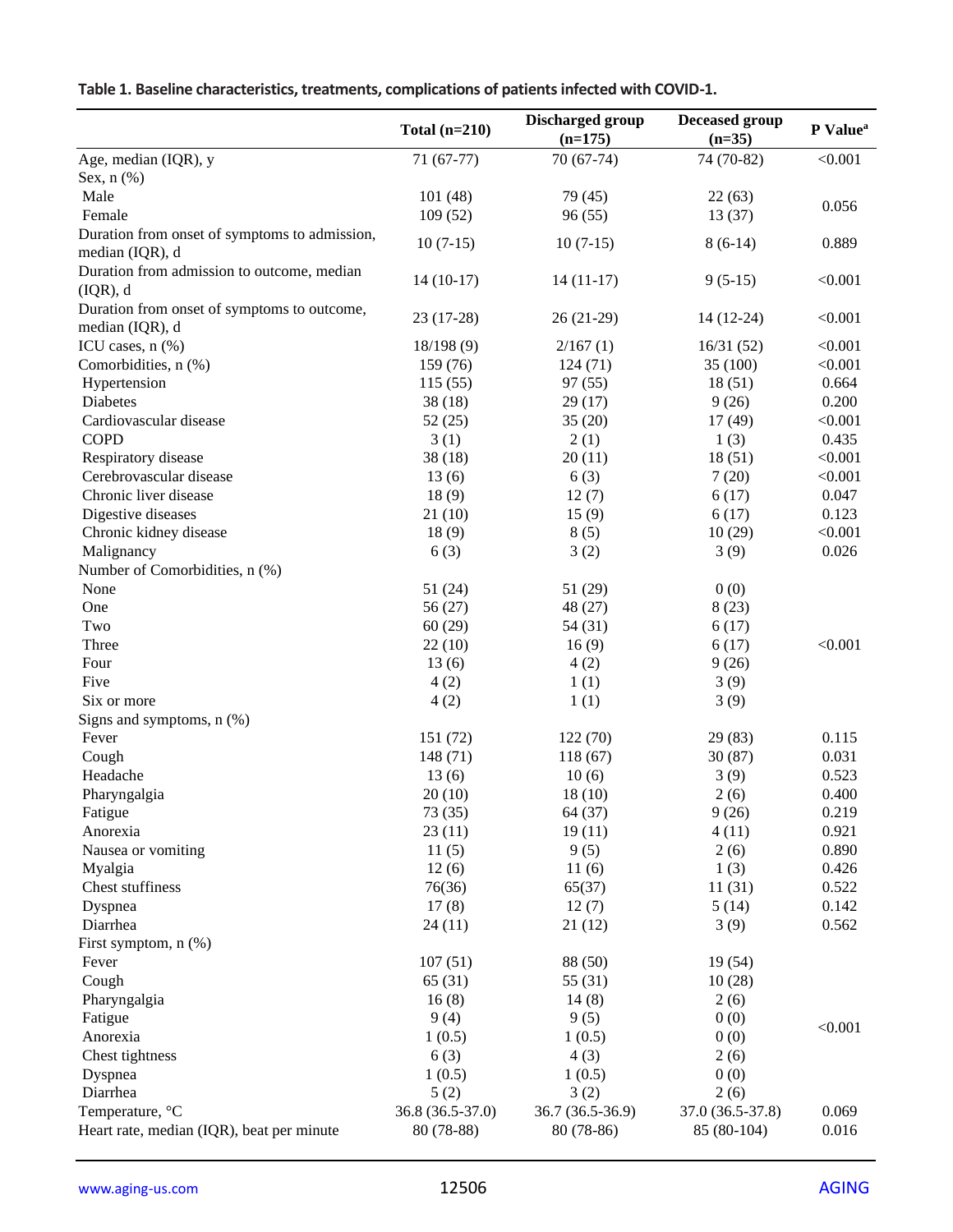|                                               | Total $(n=210)$  | <b>Discharged group</b><br>$(n=175)$ | Deceased group<br>$(n=35)$ | P Value <sup>a</sup> |
|-----------------------------------------------|------------------|--------------------------------------|----------------------------|----------------------|
| Age, median (IQR), y<br>Sex, $n$ $(\%)$       | $71(67-77)$      | $70(67-74)$                          | 74 (70-82)                 | < 0.001              |
| Male                                          | 101(48)          | 79 (45)                              | 22(63)                     |                      |
| Female                                        | 109(52)          | 96(55)                               | 13(37)                     | 0.056                |
| Duration from onset of symptoms to admission, |                  |                                      |                            |                      |
| median (IQR), d                               | $10(7-15)$       | $10(7-15)$                           | $8(6-14)$                  | 0.889                |
| Duration from admission to outcome, median    |                  |                                      |                            |                      |
| (IQR), d                                      | $14(10-17)$      | $14(11-17)$                          | $9(5-15)$                  | < 0.001              |
| Duration from onset of symptoms to outcome,   |                  |                                      |                            |                      |
| median (IQR), d                               | $23(17-28)$      | $26(21-29)$                          | $14(12-24)$                | < 0.001              |
| ICU cases, n (%)                              | 18/198(9)        | 2/167(1)                             | 16/31(52)                  | < 0.001              |
| Comorbidities, n (%)                          | 159 (76)         | 124(71)                              | 35(100)                    | < 0.001              |
| Hypertension                                  | 115(55)          | 97(55)                               | 18(51)                     | 0.664                |
| Diabetes                                      | 38(18)           | 29(17)                               | 9(26)                      | 0.200                |
| Cardiovascular disease                        | 52(25)           | 35(20)                               | 17(49)                     | < 0.001              |
| <b>COPD</b>                                   | 3(1)             | 2(1)                                 | 1(3)                       | 0.435                |
| Respiratory disease                           | 38(18)           | 20(11)                               | 18(51)                     | < 0.001              |
| Cerebrovascular disease                       | 13(6)            |                                      |                            | < 0.001              |
| Chronic liver disease                         |                  | 6(3)                                 | 7(20)                      |                      |
|                                               | 18(9)            | 12(7)                                | 6(17)                      | 0.047                |
| Digestive diseases                            | 21(10)           | 15(9)                                | 6(17)                      | 0.123                |
| Chronic kidney disease                        | 18(9)            | 8(5)                                 | 10(29)                     | < 0.001              |
| Malignancy                                    | 6(3)             | 3(2)                                 | 3(9)                       | 0.026                |
| Number of Comorbidities, n (%)                |                  |                                      |                            |                      |
| None                                          | 51(24)           | 51 (29)                              | 0(0)                       |                      |
| One                                           | 56(27)           | 48 (27)                              | 8(23)                      |                      |
| Two                                           | 60(29)           | 54(31)                               | 6(17)                      |                      |
| Three                                         | 22(10)           | 16(9)                                | 6(17)                      | < 0.001              |
| Four                                          | 13(6)            | 4(2)                                 | 9(26)                      |                      |
| Five                                          | 4(2)             | 1(1)                                 | 3(9)                       |                      |
| Six or more                                   | 4(2)             | 1(1)                                 | 3(9)                       |                      |
| Signs and symptoms, $n$ $%$ )                 |                  |                                      |                            |                      |
| Fever                                         | 151 (72)         | 122(70)                              | 29 (83)                    | 0.115                |
| Cough                                         | 148 (71)         | 118 (67)                             | 30(87)                     | 0.031                |
| Headache                                      | 13(6)            | 10(6)                                | 3(9)                       | 0.523                |
| Pharyngalgia                                  | 20(10)           | 18(10)                               | 2(6)                       | 0.400                |
| Fatigue                                       | 73 (35)          | 64 (37)                              | 9(26)                      | 0.219                |
| Anorexia                                      | 23(11)           | 19(11)                               | 4(11)                      | 0.921                |
| Nausea or vomiting                            | 11(5)            | 9(5)                                 | 2(6)                       | 0.890                |
| Myalgia                                       | 12(6)            | 11(6)                                | 1(3)                       | 0.426                |
| Chest stuffiness                              | 76(36)           | 65(37)                               | 11(31)                     | 0.522                |
| Dyspnea                                       | 17(8)            | 12(7)                                | 5(14)                      | 0.142                |
| Diarrhea                                      | 24(11)           | 21(12)                               | 3(9)                       | 0.562                |
| First symptom, $n$ $(\%)$                     |                  |                                      |                            |                      |
| Fever                                         | 107(51)          | 88 (50)                              | 19 (54)                    |                      |
| Cough                                         | 65(31)           | 55 (31)                              | 10(28)                     |                      |
| Pharyngalgia                                  | 16(8)            | 14(8)                                | 2(6)                       |                      |
| Fatigue                                       | 9(4)             | 9(5)                                 | 0(0)                       |                      |
| Anorexia                                      | 1(0.5)           | 1(0.5)                               | 0(0)                       | < 0.001              |
| Chest tightness                               | 6(3)             | 4(3)                                 | 2(6)                       |                      |
| Dyspnea                                       | 1(0.5)           | 1(0.5)                               | 0(0)                       |                      |
| Diarrhea                                      | 5(2)             | 3(2)                                 | 2(6)                       |                      |
| Temperature, °C                               | 36.8 (36.5-37.0) | 36.7 (36.5-36.9)                     | 37.0 (36.5-37.8)           | 0.069                |
| Heart rate, median (IQR), beat per minute     | 80 (78-88)       | 80 (78-86)                           | 85 (80-104)                | 0.016                |

# **Table 1. Baseline characteristics, treatments, complications of patients infected with COVID-1.**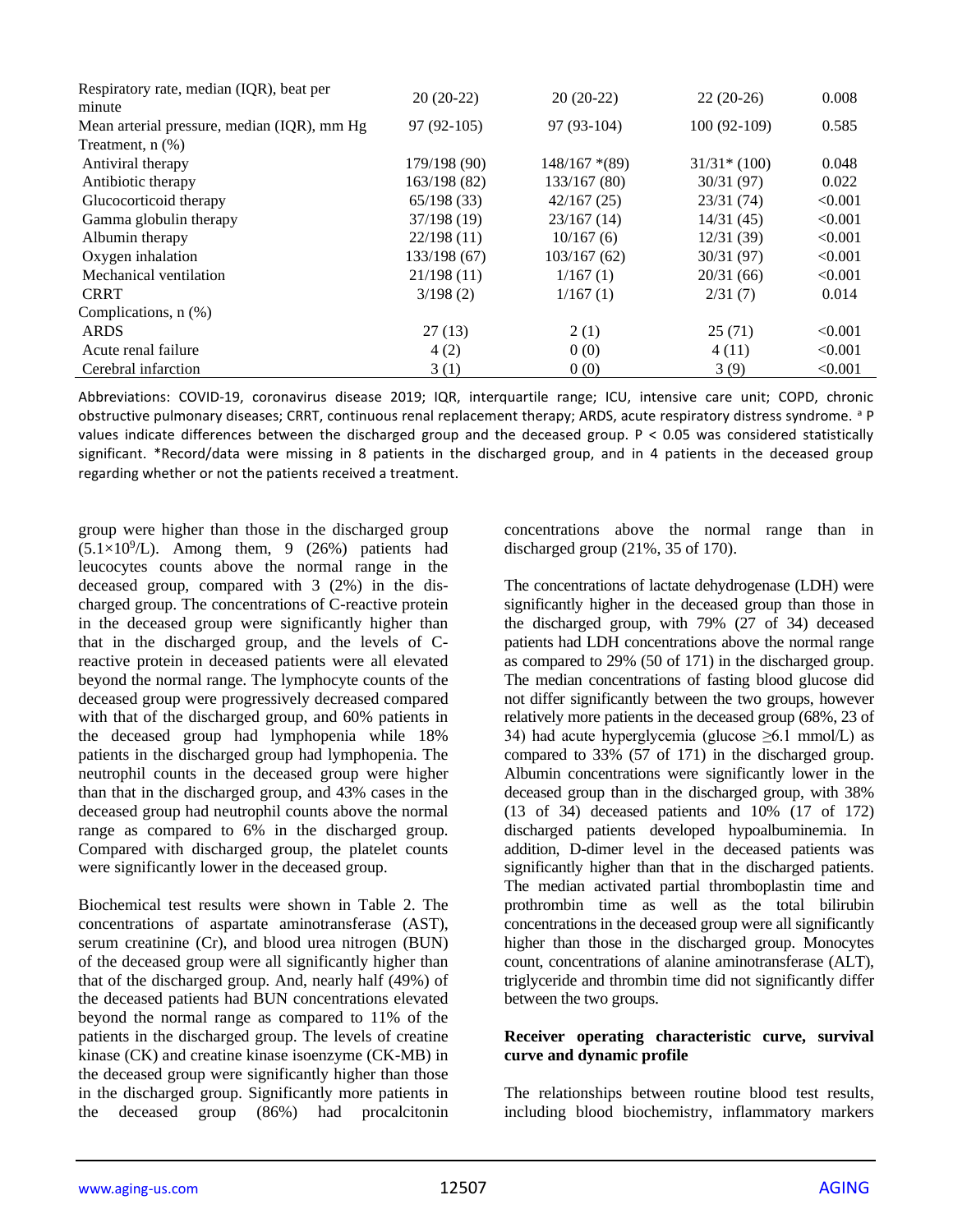| Respiratory rate, median (IQR), beat per    | $20(20-22)$  | $20(20-22)$     | $22(20-26)$   | 0.008   |
|---------------------------------------------|--------------|-----------------|---------------|---------|
| minute                                      |              |                 |               |         |
| Mean arterial pressure, median (IQR), mm Hg | $97(92-105)$ | $97(93-104)$    | $100(92-109)$ | 0.585   |
| Treatment, $n$ $(\%)$                       |              |                 |               |         |
| Antiviral therapy                           | 179/198 (90) | $148/167$ *(89) | $31/31*(100)$ | 0.048   |
| Antibiotic therapy                          | 163/198 (82) | 133/167 (80)    | 30/31 (97)    | 0.022   |
| Glucocorticoid therapy                      | 65/198(33)   | 42/167(25)      | 23/31(74)     | < 0.001 |
| Gamma globulin therapy                      | 37/198 (19)  | 23/167(14)      | 14/31(45)     | < 0.001 |
| Albumin therapy                             | 22/198(11)   | 10/167(6)       | 12/31(39)     | < 0.001 |
| Oxygen inhalation                           | 133/198 (67) | 103/167(62)     | 30/31(97)     | < 0.001 |
| Mechanical ventilation                      | 21/198(11)   | 1/167(1)        | 20/31(66)     | < 0.001 |
| <b>CRRT</b>                                 | 3/198(2)     | 1/167(1)        | 2/31(7)       | 0.014   |
| Complications, $n$ $(\%)$                   |              |                 |               |         |
| <b>ARDS</b>                                 | 27(13)       | 2(1)            | 25(71)        | < 0.001 |
| Acute renal failure                         | 4(2)         | 0(0)            | 4(11)         | < 0.001 |
| Cerebral infarction                         | 3(1)         | 0(0)            | 3(9)          | < 0.001 |

Abbreviations: COVID-19, coronavirus disease 2019; IQR, interquartile range; ICU, intensive care unit; COPD, chronic obstructive pulmonary diseases; CRRT, continuous renal replacement therapy; ARDS, acute respiratory distress syndrome. <sup>a</sup> P values indicate differences between the discharged group and the deceased group. P < 0.05 was considered statistically significant. \*Record/data were missing in 8 patients in the discharged group, and in 4 patients in the deceased group regarding whether or not the patients received a treatment.

group were higher than those in the discharged group  $(5.1 \times 10^9$ /L). Among them, 9 (26%) patients had leucocytes counts above the normal range in the deceased group, compared with 3 (2%) in the discharged group. The concentrations of C-reactive protein in the deceased group were significantly higher than that in the discharged group, and the levels of Creactive protein in deceased patients were all elevated beyond the normal range. The lymphocyte counts of the deceased group were progressively decreased compared with that of the discharged group, and 60% patients in the deceased group had lymphopenia while 18% patients in the discharged group had lymphopenia. The neutrophil counts in the deceased group were higher than that in the discharged group, and 43% cases in the deceased group had neutrophil counts above the normal range as compared to 6% in the discharged group. Compared with discharged group, the platelet counts were significantly lower in the deceased group.

Biochemical test results were shown in Table 2. The concentrations of aspartate aminotransferase (AST), serum creatinine (Cr), and blood urea nitrogen (BUN) of the deceased group were all significantly higher than that of the discharged group. And, nearly half (49%) of the deceased patients had BUN concentrations elevated beyond the normal range as compared to 11% of the patients in the discharged group. The levels of creatine kinase (CK) and creatine kinase isoenzyme (CK-MB) in the deceased group were significantly higher than those in the discharged group. Significantly more patients in the deceased group (86%) had procalcitonin

concentrations above the normal range than in discharged group (21%, 35 of 170).

The concentrations of lactate dehydrogenase (LDH) were significantly higher in the deceased group than those in the discharged group, with 79% (27 of 34) deceased patients had LDH concentrations above the normal range as compared to 29% (50 of 171) in the discharged group. The median concentrations of fasting blood glucose did not differ significantly between the two groups, however relatively more patients in the deceased group (68%, 23 of 34) had acute hyperglycemia (glucose  $\geq 6.1$  mmol/L) as compared to 33% (57 of 171) in the discharged group. Albumin concentrations were significantly lower in the deceased group than in the discharged group, with 38% (13 of 34) deceased patients and 10% (17 of 172) discharged patients developed hypoalbuminemia. In addition, D-dimer level in the deceased patients was significantly higher than that in the discharged patients. The median activated partial thromboplastin time and prothrombin time as well as the total bilirubin concentrations in the deceased group were all significantly higher than those in the discharged group. Monocytes count, concentrations of alanine aminotransferase (ALT), triglyceride and thrombin time did not significantly differ between the two groups.

#### **Receiver operating characteristic curve, survival curve and dynamic profile**

The relationships between routine blood test results, including blood biochemistry, inflammatory markers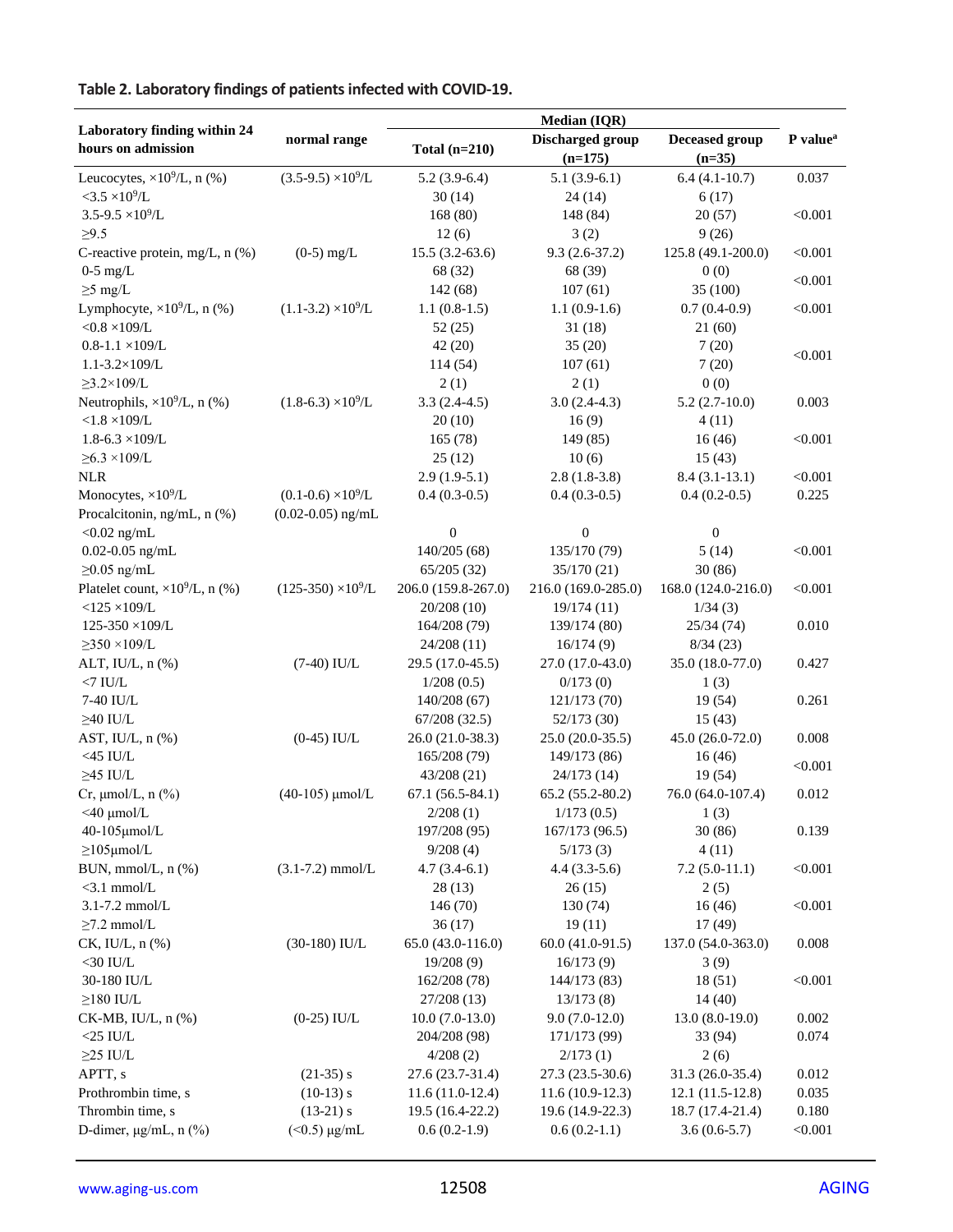# **Table 2. Laboratory findings of patients infected with COVID-19.**

|                                                    |                            | <b>Median (IQR)</b> |                               |                                   |                      |  |
|----------------------------------------------------|----------------------------|---------------------|-------------------------------|-----------------------------------|----------------------|--|
| Laboratory finding within 24<br>hours on admission | normal range               | Total $(n=210)$     | Discharged group<br>$(n=175)$ | <b>Deceased group</b><br>$(n=35)$ | P value <sup>a</sup> |  |
| Leucocytes, $\times 10^9$ /L, n (%)                | $(3.5-9.5) \times 10^9$ /L | $5.2(3.9-6.4)$      | $5.1(3.9-6.1)$                | $6.4(4.1-10.7)$                   | 0.037                |  |
| $<$ 3.5 $\times$ 10 <sup>9</sup> /L                |                            | 30(14)              | 24(14)                        | 6(17)                             |                      |  |
| $3.5 - 9.5 \times 10^9$ /L                         |                            | 168(80)             | 148 (84)                      | 20(57)                            | < 0.001              |  |
| $\geq 9.5$                                         |                            | 12(6)               | 3(2)                          | 9(26)                             |                      |  |
| C-reactive protein, mg/L, n (%)                    | $(0-5)$ mg/L               | $15.5(3.2-63.6)$    | $9.3(2.6-37.2)$               | 125.8 (49.1-200.0)                | < 0.001              |  |
| $0-5$ mg/L                                         |                            | 68 (32)             | 68 (39)                       | 0(0)                              | < 0.001              |  |
| $\geq$ 5 mg/L                                      |                            | 142 (68)            | 107(61)                       | 35(100)                           |                      |  |
| Lymphocyte, $\times 10^9$ /L, n (%)                | $(1.1-3.2)\times10^{9}/L$  | $1.1(0.8-1.5)$      | $1.1(0.9-1.6)$                | $0.7(0.4-0.9)$                    | < 0.001              |  |
| $<$ 0.8 $\times$ 109/L                             |                            | 52 (25)             | 31(18)                        | 21 (60)                           |                      |  |
| $0.8 - 1.1 \times 109$ /L                          |                            | 42(20)              | 35(20)                        | 7(20)                             | < 0.001              |  |
| $1.1 - 3.2 \times 109$ /L                          |                            | 114 (54)            | 107(61)                       | 7(20)                             |                      |  |
| $\geq$ 3.2×109/L                                   |                            | 2(1)                | 2(1)                          | 0(0)                              |                      |  |
| Neutrophils, $\times 10^9$ /L, n (%)               | $(1.8-6.3) \times 10^9$ /L | $3.3(2.4-4.5)$      | $3.0(2.4-4.3)$                | $5.2(2.7-10.0)$                   | 0.003                |  |
| $< 1.8 \times 109/L$                               |                            | 20(10)              | 16(9)                         | 4(11)                             |                      |  |
| $1.8 - 6.3 \times 109$ /L                          |                            | 165(78)             | 149 (85)                      | 16(46)                            | < 0.001              |  |
| $\geq 6.3 \times 109$ /L                           |                            | 25(12)              | 10(6)                         | 15(43)                            |                      |  |
| <b>NLR</b>                                         |                            | $2.9(1.9-5.1)$      | $2.8(1.8-3.8)$                | $8.4(3.1-13.1)$                   | < 0.001              |  |
| Monocytes, $\times 10^9$ /L                        | $(0.1-0.6) \times 10^9$ /L | $0.4(0.3-0.5)$      | $0.4(0.3-0.5)$                | $0.4(0.2-0.5)$                    | 0.225                |  |
| Procalcitonin, ng/mL, n (%)                        | $(0.02 - 0.05)$ ng/mL      |                     |                               |                                   |                      |  |
| $<$ 0.02 ng/mL                                     |                            | $\boldsymbol{0}$    | $\boldsymbol{0}$              | $\boldsymbol{0}$                  |                      |  |
| $0.02 - 0.05$ ng/mL                                |                            | 140/205 (68)        | 135/170 (79)                  | 5(14)                             | < 0.001              |  |
| $\geq$ 0.05 ng/mL                                  |                            | 65/205(32)          | 35/170(21)                    | 30(86)                            |                      |  |
| Platelet count, $\times 10^9$ /L, n (%)            | $(125-350) \times 10^9$ /L | 206.0 (159.8-267.0) | 216.0 (169.0-285.0)           | 168.0 (124.0-216.0)               | < 0.001              |  |
| $<$ 125 $\times$ 109/L                             |                            | 20/208 (10)         | 19/174(11)                    | 1/34(3)                           |                      |  |
| 125-350 ×109/L                                     |                            | 164/208 (79)        | 139/174 (80)                  | 25/34(74)                         | 0.010                |  |
| $\geq$ 350 ×109/L                                  |                            | 24/208 (11)         | 16/174(9)                     | 8/34(23)                          |                      |  |
| ALT, IU/L, n (%)                                   | $(7-40)$ IU/L              | 29.5 (17.0-45.5)    | 27.0 (17.0-43.0)              | 35.0 (18.0-77.0)                  | 0.427                |  |
| $<7$ IU/L                                          |                            | 1/208(0.5)          | 0/173(0)                      | 1(3)                              |                      |  |
| 7-40 IU/L                                          |                            | 140/208 (67)        | 121/173 (70)                  | 19 (54)                           | 0.261                |  |
| $\geq$ 40 IU/L                                     |                            | 67/208(32.5)        | 52/173 (30)                   | 15(43)                            |                      |  |
| AST, IU/L, n (%)                                   | $(0-45)$ IU/L              | 26.0 (21.0-38.3)    | 25.0 (20.0-35.5)              | 45.0 (26.0-72.0)                  | 0.008                |  |
| $<$ 45 IU/L                                        |                            | 165/208 (79)        | 149/173 (86)                  | 16(46)                            | < 0.001              |  |
| $\geq$ 45 IU/L                                     |                            | 43/208 (21)         | 24/173 (14)                   | 19 (54)                           |                      |  |
| Cr, $\mu$ mol/L, n $(\%)$                          | $(40-105)$ µmol/L          | $67.1(56.5-84.1)$   | 65.2 (55.2-80.2)              | 76.0 (64.0-107.4)                 | 0.012                |  |
| $<$ 40 $\mu$ mol/L                                 |                            | 2/208(1)            | 1/173(0.5)                    | 1(3)                              |                      |  |
| 40-105µmol/L                                       |                            | 197/208 (95)        | 167/173 (96.5)                | 30(86)                            | 0.139                |  |
| $\geq$ 105µmol/L                                   |                            | 9/208(4)            | 5/173(3)                      | 4(11)                             |                      |  |
| BUN, mmol/L, n (%)                                 | $(3.1 - 7.2)$ mmol/L       | $4.7(3.4-6.1)$      | $4.4(3.3-5.6)$                | $7.2(5.0-11.1)$                   | < 0.001              |  |
| $<$ 3.1 mmol/L                                     |                            | 28(13)              | 26(15)                        | 2(5)                              |                      |  |
| $3.1 - 7.2$ mmol/L                                 |                            | 146 (70)            | 130 (74)                      | 16(46)                            | < 0.001              |  |
| $\geq$ 7.2 mmol/L                                  |                            | 36(17)              | 19(11)                        | 17(49)                            |                      |  |
| CK, IU/L, n (%)                                    | $(30-180)$ IU/L            | 65.0 (43.0-116.0)   | 60.0 (41.0-91.5)              | 137.0 (54.0-363.0)                | 0.008                |  |
| $<$ 30 IU/L                                        |                            | 19/208(9)           | 16/173(9)                     | 3(9)                              |                      |  |
| 30-180 IU/L                                        |                            | 162/208 (78)        | 144/173 (83)                  | 18(51)                            | < 0.001              |  |
| $\geq$ 180 IU/L                                    |                            | 27/208 (13)         | 13/173(8)                     | 14(40)                            |                      |  |
| $CK-MB$ , IU/L, n $(\%)$                           | $(0-25)$ IU/L              | $10.0(7.0-13.0)$    | $9.0(7.0-12.0)$               | $13.0(8.0-19.0)$                  | 0.002                |  |
| $<$ 25 IU/L                                        |                            | 204/208 (98)        | 171/173 (99)                  | 33 (94)                           | 0.074                |  |
| $\geq$ 25 IU/L                                     |                            | 4/208(2)            | 2/173(1)                      | 2(6)                              |                      |  |
| APTT, s                                            | $(21-35)$ s                | 27.6 (23.7-31.4)    | 27.3 (23.5-30.6)              | 31.3 (26.0-35.4)                  | 0.012                |  |
| Prothrombin time, s                                | $(10-13) s$                | $11.6(11.0-12.4)$   | $11.6(10.9-12.3)$             | $12.1(11.5-12.8)$                 | 0.035                |  |
| Thrombin time, s                                   | $(13-21)$ s                | 19.5 (16.4-22.2)    | 19.6 (14.9-22.3)              | 18.7 (17.4-21.4)                  | 0.180                |  |
| D-dimer, $\mu$ g/mL, n $(\%)$                      | $($ < 0.5) $\mu$ g/mL      | $0.6(0.2-1.9)$      | $0.6(0.2-1.1)$                | $3.6(0.6-5.7)$                    | < 0.001              |  |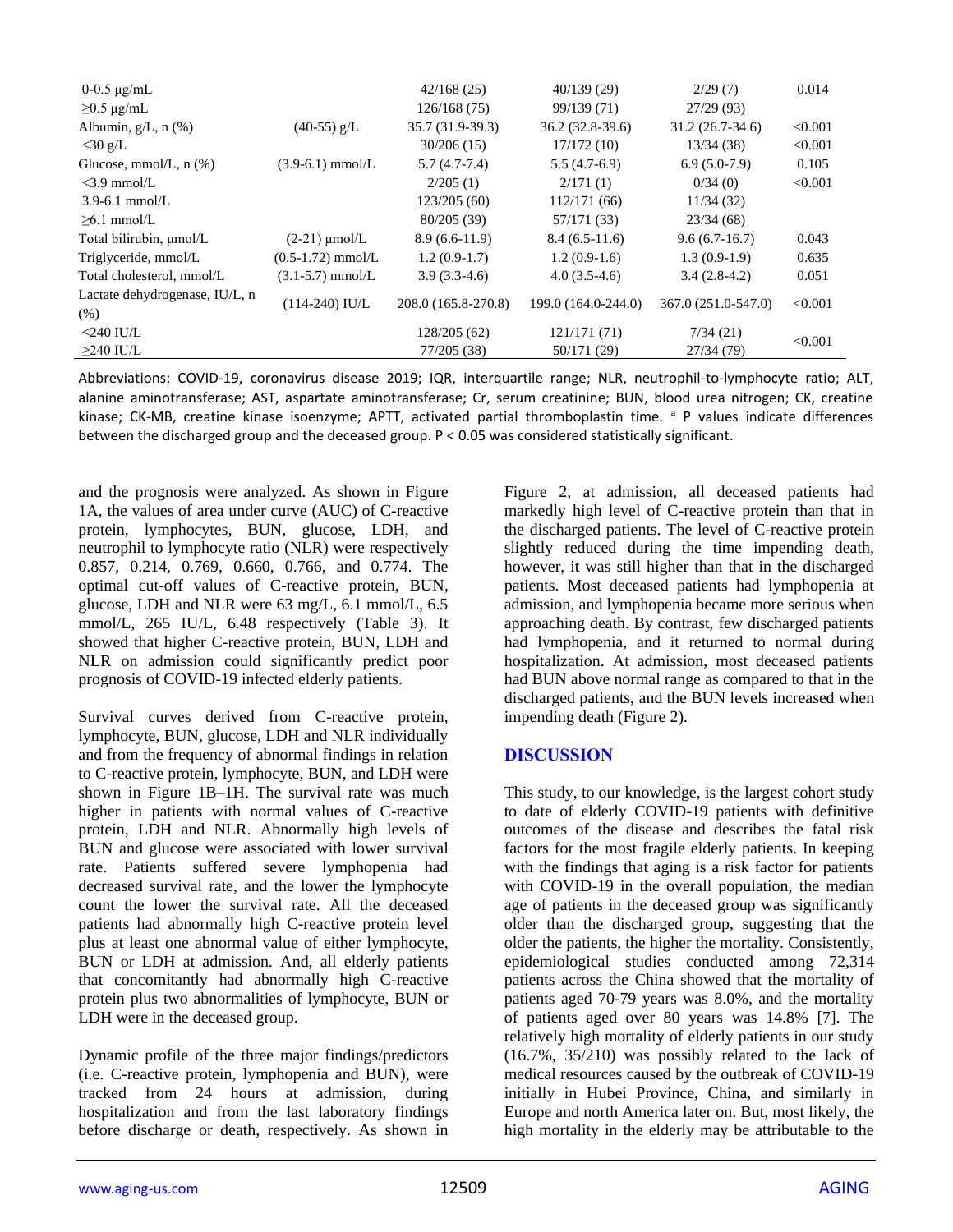| $0-0.5 \mu g/mL$                       |                     | 42/168(25)          | 40/139(29)          | 2/29(7)             | 0.014   |
|----------------------------------------|---------------------|---------------------|---------------------|---------------------|---------|
| $\geq$ 0.5 µg/mL                       |                     | 126/168(75)         | 99/139 (71)         | 27/29(93)           |         |
| Albumin, g/L, n (%)                    | $(40-55)$ g/L       | 35.7 (31.9-39.3)    | $36.2(32.8-39.6)$   | $31.2(26.7-34.6)$   | < 0.001 |
| $<$ 30 g/L                             |                     | 30/206(15)          | 17/172(10)          | 13/34(38)           | < 0.001 |
| Glucose, mmol/L, $n$ (%)               | $(3.9-6.1)$ mmol/L  | $5.7(4.7-7.4)$      | $5.5(4.7-6.9)$      | $6.9(5.0-7.9)$      | 0.105   |
| $<$ 3.9 mmol/L                         |                     | 2/205(1)            | 2/171(1)            | 0/34(0)             | < 0.001 |
| $3.9 - 6.1$ mmol/L                     |                     | 123/205(60)         | 112/171(66)         | 11/34(32)           |         |
| $\geq 6.1$ mmol/L                      |                     | 80/205 (39)         | 57/171 (33)         | 23/34(68)           |         |
| Total bilirubin, µmol/L                | $(2-21)$ µmol/L     | $8.9(6.6-11.9)$     | $8.4(6.5-11.6)$     | $9.6(6.7-16.7)$     | 0.043   |
| Triglyceride, mmol/L                   | $(0.5-1.72)$ mmol/L | $1.2(0.9-1.7)$      | $1.2(0.9-1.6)$      | $1.3(0.9-1.9)$      | 0.635   |
| Total cholesterol, mmol/L              | $(3.1-5.7)$ mmol/L  | $3.9(3.3-4.6)$      | $4.0(3.5-4.6)$      | $3.4(2.8-4.2)$      | 0.051   |
| Lactate dehydrogenase, IU/L, n<br>(% ) | $(114-240)$ IU/L    | 208.0 (165.8-270.8) | 199.0 (164.0-244.0) | 367.0 (251.0-547.0) | < 0.001 |
| $<$ 240 IU/L                           |                     | 128/205(62)         | 121/171(71)         | 7/34(21)            |         |
| $\geq$ 240 IU/L                        |                     | 77/205 (38)         | 50/171 (29)         | 27/34 (79)          | < 0.001 |

Abbreviations: COVID-19, coronavirus disease 2019; IQR, interquartile range; NLR, neutrophil-to-lymphocyte ratio; ALT, alanine aminotransferase; AST, aspartate aminotransferase; Cr, serum creatinine; BUN, blood urea nitrogen; CK, creatine kinase; CK-MB, creatine kinase isoenzyme; APTT, activated partial thromboplastin time. <sup>a</sup> P values indicate differences between the discharged group and the deceased group. P < 0.05 was considered statistically significant.

and the prognosis were analyzed. As shown in Figure 1A, the values of area under curve (AUC) of C-reactive protein, lymphocytes, BUN, glucose, LDH, and neutrophil to lymphocyte ratio (NLR) were respectively 0.857, 0.214, 0.769, 0.660, 0.766, and 0.774. The optimal cut-off values of C-reactive protein, BUN, glucose, LDH and NLR were 63 mg/L, 6.1 mmol/L, 6.5 mmol/L, 265 IU/L, 6.48 respectively (Table 3). It showed that higher C-reactive protein, BUN, LDH and NLR on admission could significantly predict poor prognosis of COVID-19 infected elderly patients.

Survival curves derived from C-reactive protein, lymphocyte, BUN, glucose, LDH and NLR individually and from the frequency of abnormal findings in relation to C-reactive protein, lymphocyte, BUN, and LDH were shown in Figure 1B–1H. The survival rate was much higher in patients with normal values of C-reactive protein, LDH and NLR. Abnormally high levels of BUN and glucose were associated with lower survival rate. Patients suffered severe lymphopenia had decreased survival rate, and the lower the lymphocyte count the lower the survival rate. All the deceased patients had abnormally high C-reactive protein level plus at least one abnormal value of either lymphocyte, BUN or LDH at admission. And, all elderly patients that concomitantly had abnormally high C-reactive protein plus two abnormalities of lymphocyte, BUN or LDH were in the deceased group.

Dynamic profile of the three major findings/predictors (i.e. C-reactive protein, lymphopenia and BUN), were tracked from 24 hours at admission, during hospitalization and from the last laboratory findings before discharge or death, respectively. As shown in Figure 2, at admission, all deceased patients had markedly high level of C-reactive protein than that in the discharged patients. The level of C-reactive protein slightly reduced during the time impending death, however, it was still higher than that in the discharged patients. Most deceased patients had lymphopenia at admission, and lymphopenia became more serious when approaching death. By contrast, few discharged patients had lymphopenia, and it returned to normal during hospitalization. At admission, most deceased patients had BUN above normal range as compared to that in the discharged patients, and the BUN levels increased when impending death (Figure 2).

# **DISCUSSION**

This study, to our knowledge, is the largest cohort study to date of elderly COVID-19 patients with definitive outcomes of the disease and describes the fatal risk factors for the most fragile elderly patients. In keeping with the findings that aging is a risk factor for patients with COVID-19 in the overall population, the median age of patients in the deceased group was significantly older than the discharged group, suggesting that the older the patients, the higher the mortality. Consistently, epidemiological studies conducted among 72,314 patients across the China showed that the mortality of patients aged 70-79 years was 8.0%, and the mortality of patients aged over 80 years was 14.8% [7]. The relatively high mortality of elderly patients in our study (16.7%, 35/210) was possibly related to the lack of medical resources caused by the outbreak of COVID-19 initially in Hubei Province, China, and similarly in Europe and north America later on. But, most likely, the high mortality in the elderly may be attributable to the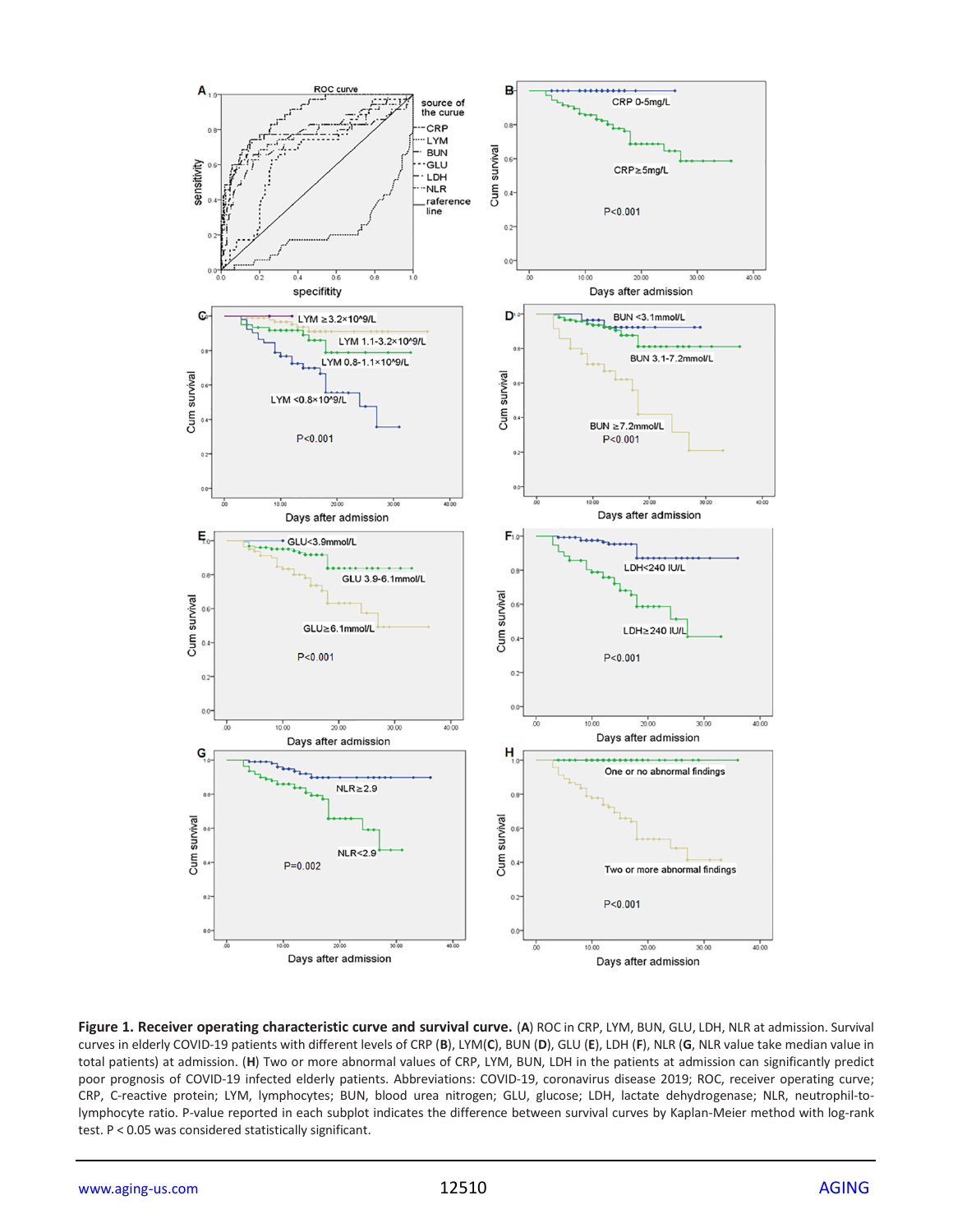

**Figure 1. Receiver operating characteristic curve and survival curve.** (**A**) ROC in CRP, LYM, BUN, GLU, LDH, NLR at admission. Survival curves in elderly COVID-19 patients with different levels of CRP (**B**), LYM(**C**), BUN (**D**), GLU (**E**), LDH (**F**), NLR (**G**, NLR value take median value in total patients) at admission. (**H**) Two or more abnormal values of CRP, LYM, BUN, LDH in the patients at admission can significantly predict poor prognosis of COVID-19 infected elderly patients. Abbreviations: COVID-19, coronavirus disease 2019; ROC, receiver operating curve; CRP, C-reactive protein; LYM, lymphocytes; BUN, blood urea nitrogen; GLU, glucose; LDH, lactate dehydrogenase; NLR, neutrophil-tolymphocyte ratio. P-value reported in each subplot indicates the difference between survival curves by Kaplan-Meier method with log-rank test. P < 0.05 was considered statistically significant.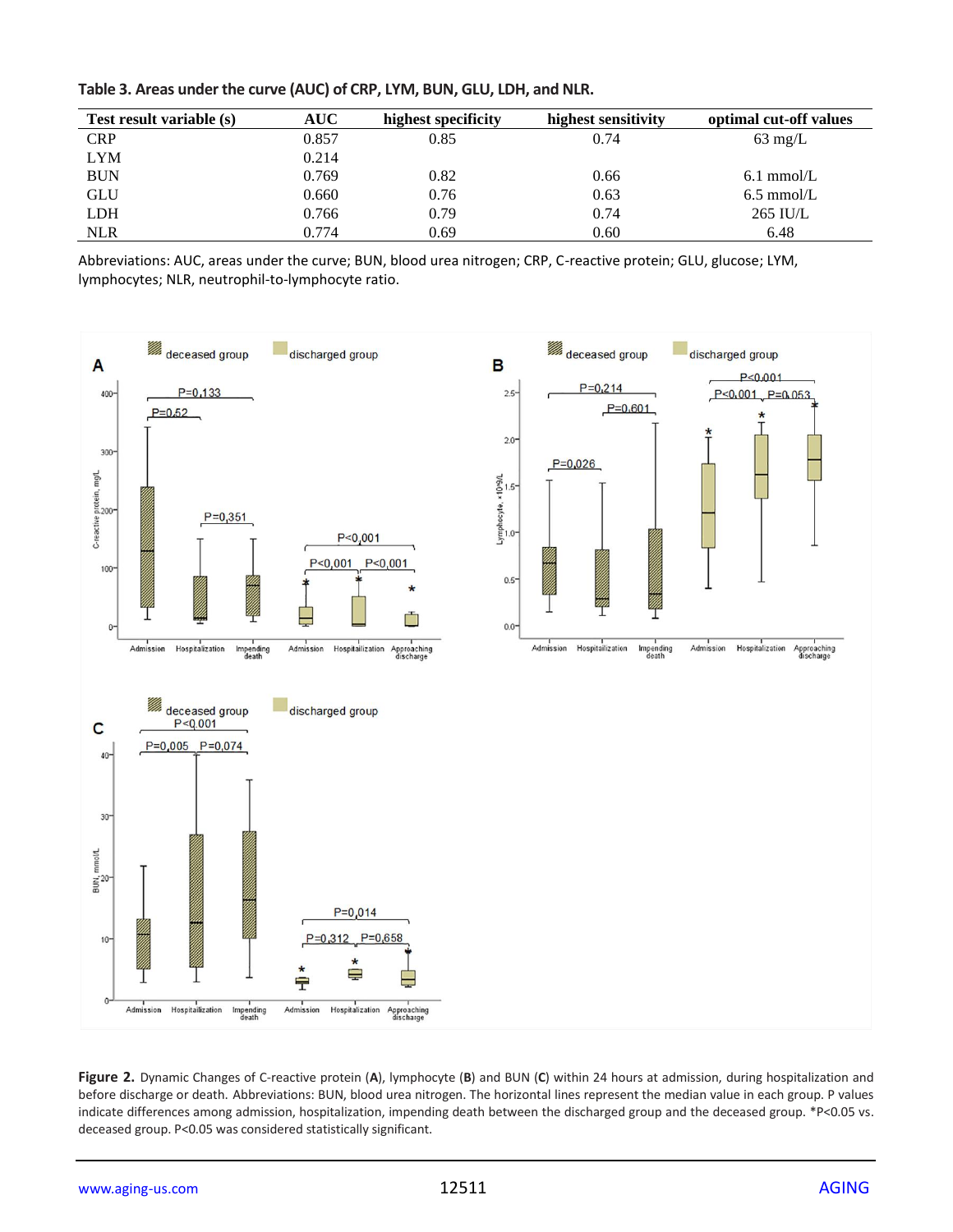| Table 3. Areas under the curve (AUC) of CRP, LYM, BUN, GLU, LDH, and NLR. |  |
|---------------------------------------------------------------------------|--|
|---------------------------------------------------------------------------|--|

| <b>Test result variable (s)</b> | <b>AUC</b> | highest specificity | highest sensitivity | optimal cut-off values |
|---------------------------------|------------|---------------------|---------------------|------------------------|
| <b>CRP</b>                      | 0.857      | 0.85                | 0.74                | $63 \text{ mg/L}$      |
| <b>LYM</b>                      | 0.214      |                     |                     |                        |
| <b>BUN</b>                      | 0.769      | 0.82                | 0.66                | $6.1 \text{ mmol/L}$   |
| <b>GLU</b>                      | 0.660      | 0.76                | 0.63                | $6.5 \text{ mmol/L}$   |
| <b>LDH</b>                      | 0.766      | 0.79                | 0.74                | 265 IU/L               |
| <b>NLR</b>                      | 0.774      | 0.69                | 0.60                | 6.48                   |

Abbreviations: AUC, areas under the curve; BUN, blood urea nitrogen; CRP, C-reactive protein; GLU, glucose; LYM, lymphocytes; NLR, neutrophil-to-lymphocyte ratio.



**Figure 2.** Dynamic Changes of C-reactive protein (**A**), lymphocyte (**B**) and BUN (**C**) within 24 hours at admission, during hospitalization and before discharge or death. Abbreviations: BUN, blood urea nitrogen. The horizontal lines represent the median value in each group. P values indicate differences among admission, hospitalization, impending death between the discharged group and the deceased group. \*P<0.05 vs. deceased group. P<0.05 was considered statistically significant.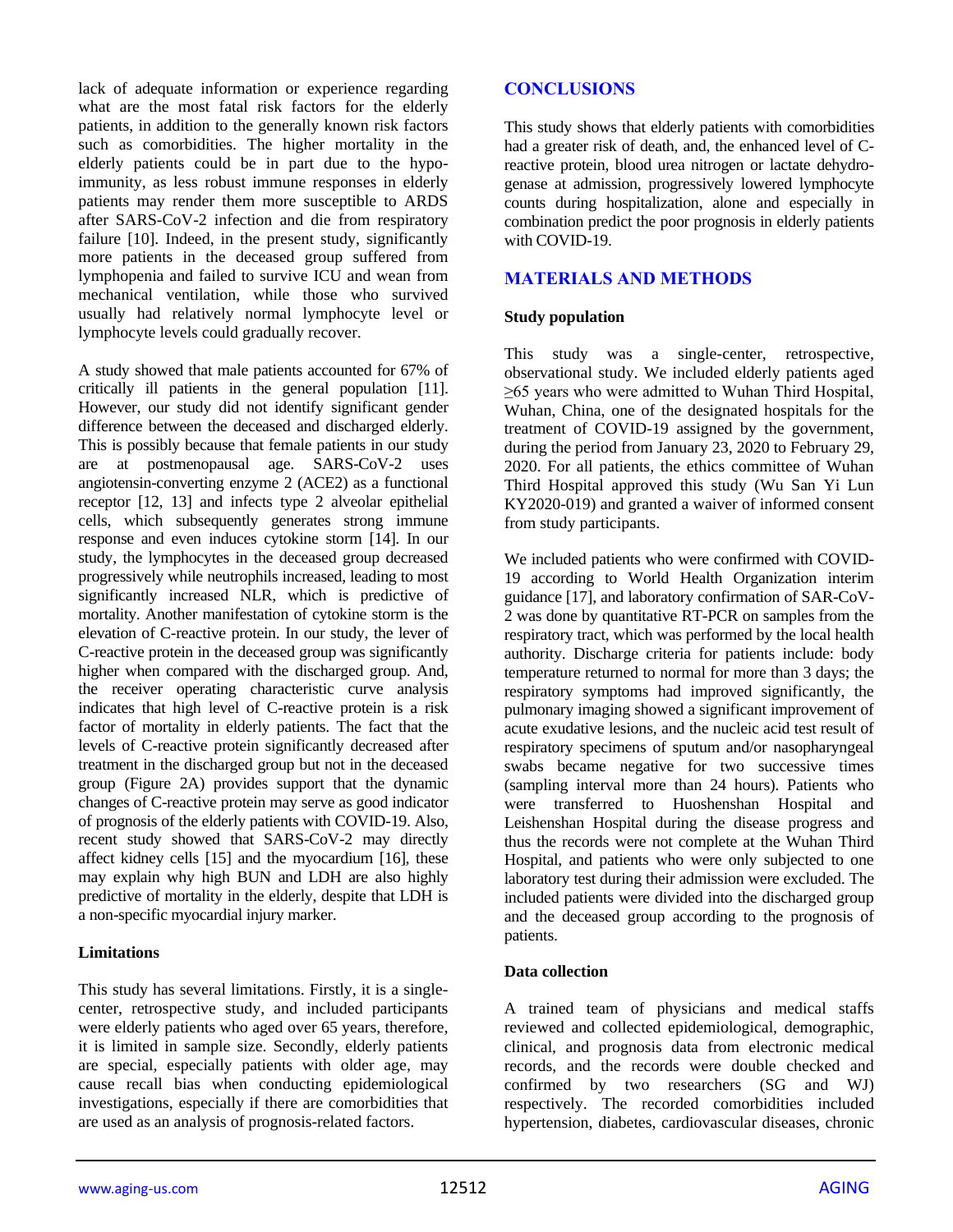lack of adequate information or experience regarding what are the most fatal risk factors for the elderly patients, in addition to the generally known risk factors such as comorbidities. The higher mortality in the elderly patients could be in part due to the hypoimmunity, as less robust immune responses in elderly patients may render them more susceptible to ARDS after SARS-CoV-2 infection and die from respiratory failure [10]. Indeed, in the present study, significantly more patients in the deceased group suffered from lymphopenia and failed to survive ICU and wean from mechanical ventilation, while those who survived usually had relatively normal lymphocyte level or lymphocyte levels could gradually recover.

A study showed that male patients accounted for 67% of critically ill patients in the general population [11]. However, our study did not identify significant gender difference between the deceased and discharged elderly. This is possibly because that female patients in our study are at postmenopausal age. SARS-CoV-2 uses angiotensin-converting enzyme 2 (ACE2) as a functional receptor [12, 13] and infects type 2 alveolar epithelial cells, which subsequently generates strong immune response and even induces cytokine storm [14]. In our study, the lymphocytes in the deceased group decreased progressively while neutrophils increased, leading to most significantly increased NLR, which is predictive of mortality. Another manifestation of cytokine storm is the elevation of C-reactive protein. In our study, the lever of C-reactive protein in the deceased group was significantly higher when compared with the discharged group. And, the receiver operating characteristic curve analysis indicates that high level of C-reactive protein is a risk factor of mortality in elderly patients. The fact that the levels of C-reactive protein significantly decreased after treatment in the discharged group but not in the deceased group (Figure 2A) provides support that the dynamic changes of C-reactive protein may serve as good indicator of prognosis of the elderly patients with COVID-19. Also, recent study showed that SARS-CoV-2 may directly affect kidney cells [15] and the myocardium [16], these may explain why high BUN and LDH are also highly predictive of mortality in the elderly, despite that LDH is a non-specific myocardial injury marker.

#### **Limitations**

This study has several limitations. Firstly, it is a singlecenter, retrospective study, and included participants were elderly patients who aged over 65 years, therefore, it is limited in sample size. Secondly, elderly patients are special, especially patients with older age, may cause recall bias when conducting epidemiological investigations, especially if there are comorbidities that are used as an analysis of prognosis-related factors.

# **CONCLUSIONS**

This study shows that elderly patients with comorbidities had a greater risk of death, and, the enhanced level of Creactive protein, blood urea nitrogen or lactate dehydrogenase at admission, progressively lowered lymphocyte counts during hospitalization, alone and especially in combination predict the poor prognosis in elderly patients with COVID-19.

# **MATERIALS AND METHODS**

## **Study population**

This study was a single-center, retrospective, observational study. We included elderly patients aged ≥65 years who were admitted to Wuhan Third Hospital, Wuhan, China, one of the designated hospitals for the treatment of COVID-19 assigned by the government, during the period from January 23, 2020 to February 29, 2020. For all patients, the ethics committee of Wuhan Third Hospital approved this study (Wu San Yi Lun KY2020-019) and granted a waiver of informed consent from study participants.

We included patients who were confirmed with COVID-19 according to World Health Organization interim guidance [17], and laboratory confirmation of SAR-CoV-2 was done by quantitative RT-PCR on samples from the respiratory tract, which was performed by the local health authority. Discharge criteria for patients include: body temperature returned to normal for more than 3 days; the respiratory symptoms had improved significantly, the pulmonary imaging showed a significant improvement of acute exudative lesions, and the nucleic acid test result of respiratory specimens of sputum and/or nasopharyngeal swabs became negative for two successive times (sampling interval more than 24 hours). Patients who were transferred to Huoshenshan Hospital and Leishenshan Hospital during the disease progress and thus the records were not complete at the Wuhan Third Hospital, and patients who were only subjected to one laboratory test during their admission were excluded. The included patients were divided into the discharged group and the deceased group according to the prognosis of patients.

#### **Data collection**

A trained team of physicians and medical staffs reviewed and collected epidemiological, demographic, clinical, and prognosis data from electronic medical records, and the records were double checked and confirmed by two researchers (SG and WJ) respectively. The recorded comorbidities included hypertension, diabetes, cardiovascular diseases, chronic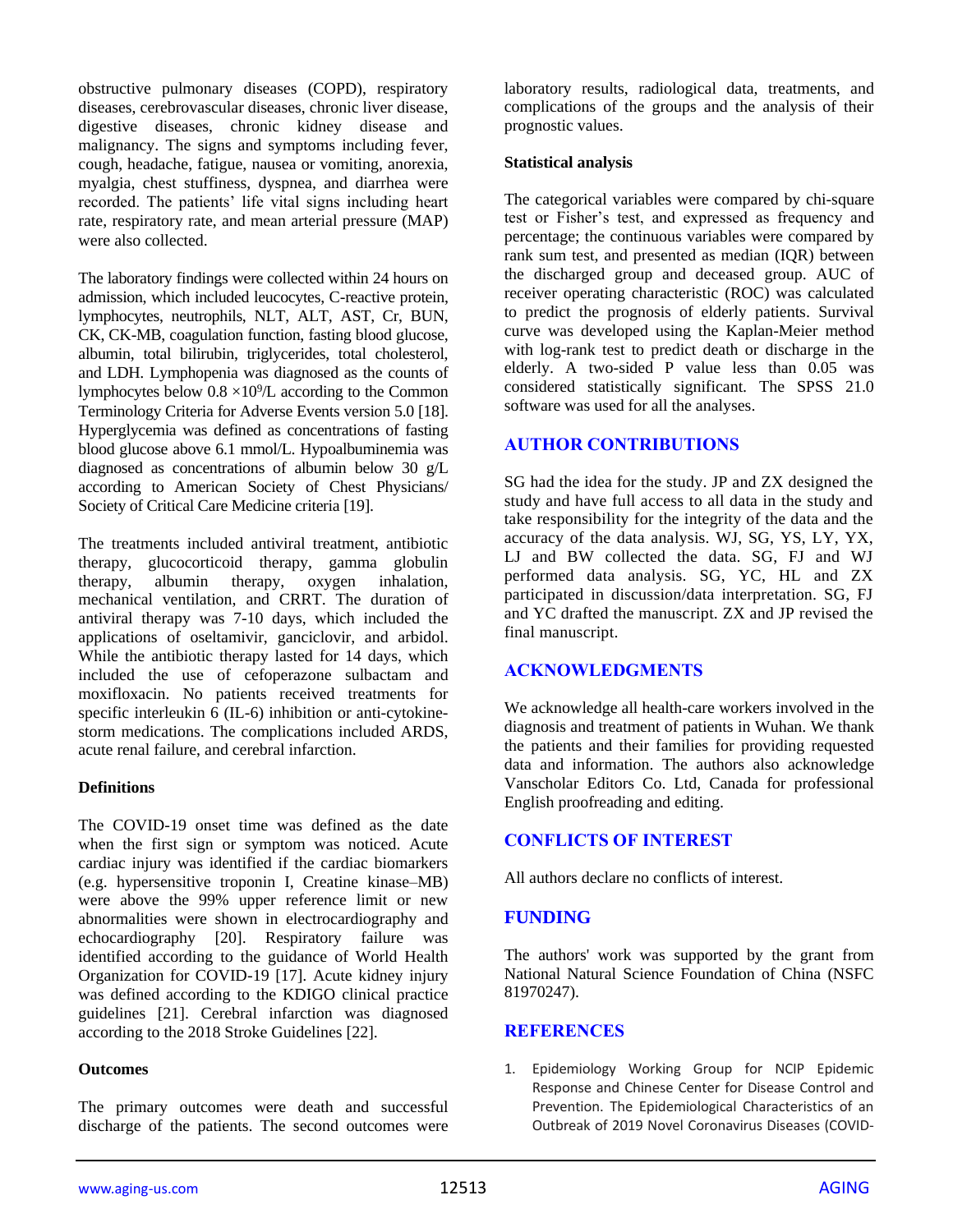obstructive pulmonary diseases (COPD), respiratory diseases, cerebrovascular diseases, chronic liver disease, digestive diseases, chronic kidney disease and malignancy. The signs and symptoms including fever, cough, headache, fatigue, nausea or vomiting, anorexia, myalgia, chest stuffiness, dyspnea, and diarrhea were recorded. The patients' life vital signs including heart rate, respiratory rate, and mean arterial pressure (MAP) were also collected.

The laboratory findings were collected within 24 hours on admission, which included leucocytes, C-reactive protein, lymphocytes, neutrophils, NLT, ALT, AST, Cr, BUN, CK, CK-MB, coagulation function, fasting blood glucose, albumin, total bilirubin, triglycerides, total cholesterol, and LDH. Lymphopenia was diagnosed as the counts of lymphocytes below  $0.8 \times 10^9$ /L according to the Common Terminology Criteria for Adverse Events version 5.0 [18]. Hyperglycemia was defined as concentrations of fasting blood glucose above 6.1 mmol/L. Hypoalbuminemia was diagnosed as concentrations of albumin below 30 g/L according to American Society of Chest Physicians/ Society of Critical Care Medicine criteria [19].

The treatments included antiviral treatment, antibiotic therapy, glucocorticoid therapy, gamma globulin therapy, albumin therapy, oxygen inhalation, mechanical ventilation, and CRRT. The duration of antiviral therapy was 7-10 days, which included the applications of oseltamivir, ganciclovir, and arbidol. While the antibiotic therapy lasted for 14 days, which included the use of cefoperazone sulbactam and moxifloxacin. No patients received treatments for specific interleukin  $6$  (IL-6) inhibition or anti-cytokinestorm medications. The complications included ARDS, acute renal failure, and cerebral infarction.

#### **Definitions**

The COVID-19 onset time was defined as the date when the first sign or symptom was noticed. Acute cardiac injury was identified if the cardiac biomarkers (e.g. hypersensitive troponin I, Creatine kinase–MB) were above the 99% upper reference limit or new abnormalities were shown in electrocardiography and echocardiography [20]. Respiratory failure was identified according to the guidance of World Health Organization for COVID-19 [17]. Acute kidney injury was defined according to the KDIGO clinical practice guidelines [21]. Cerebral infarction was diagnosed according to the 2018 Stroke Guidelines [22].

## **Outcomes**

The primary outcomes were death and successful discharge of the patients. The second outcomes were

laboratory results, radiological data, treatments, and complications of the groups and the analysis of their prognostic values.

#### **Statistical analysis**

The categorical variables were compared by chi-square test or Fisher's test, and expressed as frequency and percentage; the continuous variables were compared by rank sum test, and presented as median (IQR) between the discharged group and deceased group. AUC of receiver operating characteristic (ROC) was calculated to predict the prognosis of elderly patients. Survival curve was developed using the Kaplan-Meier method with log-rank test to predict death or discharge in the elderly. A two-sided P value less than 0.05 was considered statistically significant. The SPSS 21.0 software was used for all the analyses.

## **AUTHOR CONTRIBUTIONS**

SG had the idea for the study. JP and ZX designed the study and have full access to all data in the study and take responsibility for the integrity of the data and the accuracy of the data analysis. WJ, SG, YS, LY, YX, LJ and BW collected the data. SG, FJ and WJ performed data analysis. SG, YC, HL and ZX participated in discussion/data interpretation. SG, FJ and YC drafted the manuscript. ZX and JP revised the final manuscript.

#### **ACKNOWLEDGMENTS**

We acknowledge all health-care workers involved in the diagnosis and treatment of patients in Wuhan. We thank the patients and their families for providing requested data and information. The authors also acknowledge Vanscholar Editors Co. Ltd, Canada for professional English proofreading and editing.

## **CONFLICTS OF INTEREST**

All authors declare no conflicts of interest.

# **FUNDING**

The authors' work was supported by the grant from National Natural Science Foundation of China (NSFC 81970247).

#### **REFERENCES**

1. Epidemiology Working Group for NCIP Epidemic Response and Chinese Center for Disease Control and Prevention. The Epidemiological Characteristics of an Outbreak of 2019 Novel Coronavirus Diseases (COVID-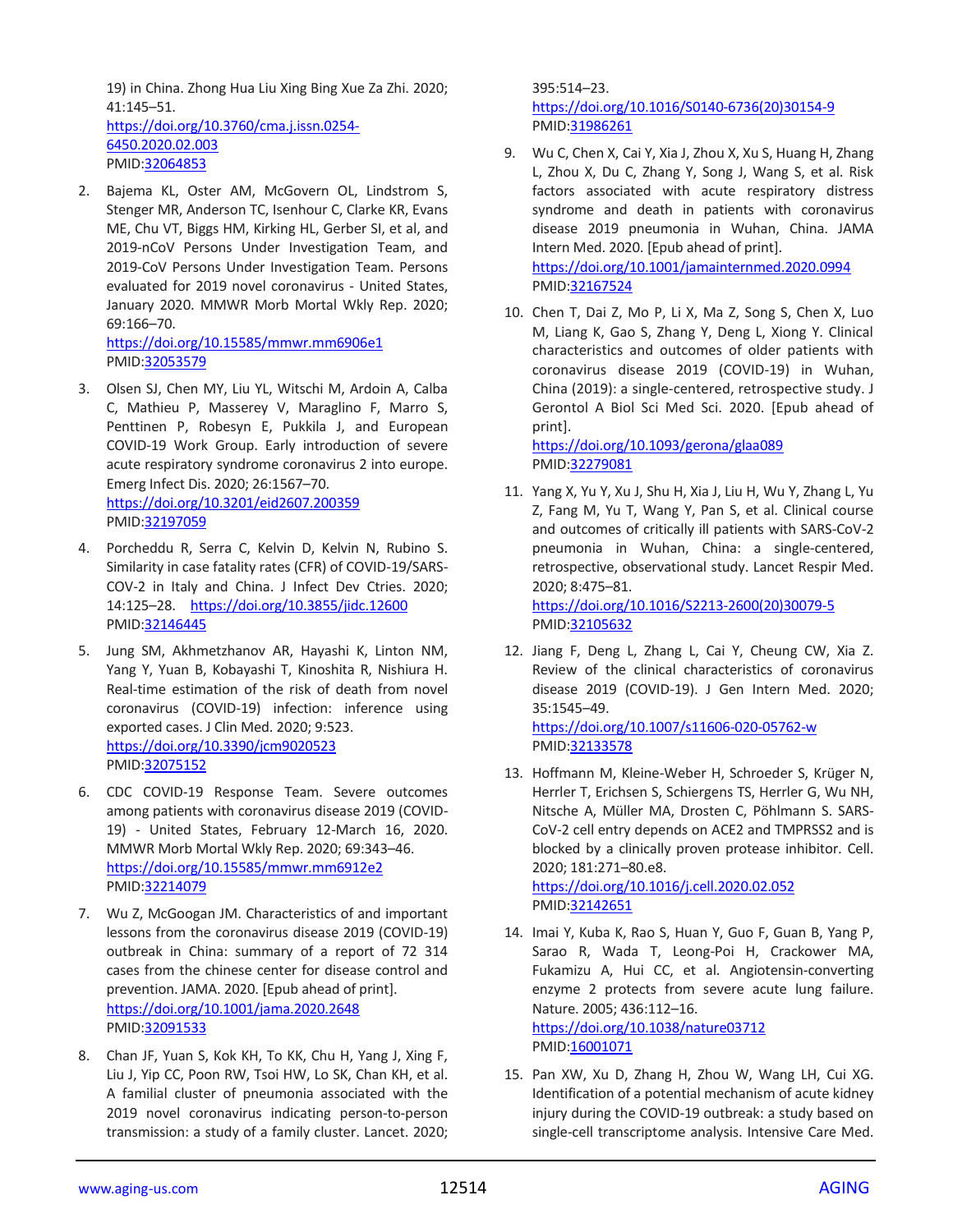19) in China. Zhong Hua Liu Xing Bing Xue Za Zhi. 2020; 41:145–51.

[https://doi.org/10.3760/cma.j.issn.0254-](https://doi.org/10.3760/cma.j.issn.0254-6450.2020.02.003) [6450.2020.02.003](https://doi.org/10.3760/cma.j.issn.0254-6450.2020.02.003) PMID[:32064853](https://pubmed.ncbi.nlm.nih.gov/32064853)

2. Bajema KL, Oster AM, McGovern OL, Lindstrom S, Stenger MR, Anderson TC, Isenhour C, Clarke KR, Evans ME, Chu VT, Biggs HM, Kirking HL, Gerber SI, et al, and 2019-nCoV Persons Under Investigation Team, and 2019-CoV Persons Under Investigation Team. Persons evaluated for 2019 novel coronavirus - United States, January 2020. MMWR Morb Mortal Wkly Rep. 2020; 69:166–70.

<https://doi.org/10.15585/mmwr.mm6906e1> PMID[:32053579](https://pubmed.ncbi.nlm.nih.gov/32053579)

- 3. Olsen SJ, Chen MY, Liu YL, Witschi M, Ardoin A, Calba C, Mathieu P, Masserey V, Maraglino F, Marro S, Penttinen P, Robesyn E, Pukkila J, and European COVID-19 Work Group. Early introduction of severe acute respiratory syndrome coronavirus 2 into europe. Emerg Infect Dis. 2020; 26:1567–70. <https://doi.org/10.3201/eid2607.200359> PMID[:32197059](https://pubmed.ncbi.nlm.nih.gov/32197059)
- 4. Porcheddu R, Serra C, Kelvin D, Kelvin N, Rubino S. Similarity in case fatality rates (CFR) of COVID-19/SARS-COV-2 in Italy and China. J Infect Dev Ctries. 2020; 14:125–28. <https://doi.org/10.3855/jidc.12600> PMID[:32146445](https://pubmed.ncbi.nlm.nih.gov/32146445)
- 5. Jung SM, Akhmetzhanov AR, Hayashi K, Linton NM, Yang Y, Yuan B, Kobayashi T, Kinoshita R, Nishiura H. Real-time estimation of the risk of death from novel coronavirus (COVID-19) infection: inference using exported cases. J Clin Med. 2020; 9:523. <https://doi.org/10.3390/jcm9020523> PMID[:32075152](https://pubmed.ncbi.nlm.nih.gov/32075152)
- 6. CDC COVID-19 Response Team. Severe outcomes among patients with coronavirus disease 2019 (COVID-19) - United States, February 12-March 16, 2020. MMWR Morb Mortal Wkly Rep. 2020; 69:343–46. <https://doi.org/10.15585/mmwr.mm6912e2> PMID[:32214079](https://pubmed.ncbi.nlm.nih.gov/32214079)
- 7. Wu Z, McGoogan JM. Characteristics of and important lessons from the coronavirus disease 2019 (COVID-19) outbreak in China: summary of a report of 72 314 cases from the chinese center for disease control and prevention. JAMA. 2020. [Epub ahead of print]. <https://doi.org/10.1001/jama.2020.2648> PMID[:32091533](https://pubmed.ncbi.nlm.nih.gov/32091533)
- 8. Chan JF, Yuan S, Kok KH, To KK, Chu H, Yang J, Xing F, Liu J, Yip CC, Poon RW, Tsoi HW, Lo SK, Chan KH, et al. A familial cluster of pneumonia associated with the 2019 novel coronavirus indicating person-to-person transmission: a study of a family cluster. Lancet. 2020;

395:514–23. [https://doi.org/10.1016/S0140-6736\(20\)30154-9](https://doi.org/10.1016/S0140-6736(20)30154-9) PMI[D:31986261](https://pubmed.ncbi.nlm.nih.gov/31986261)

- 9. Wu C, Chen X, Cai Y, Xia J, Zhou X, Xu S, Huang H, Zhang L, Zhou X, Du C, Zhang Y, Song J, Wang S, et al. Risk factors associated with acute respiratory distress syndrome and death in patients with coronavirus disease 2019 pneumonia in Wuhan, China. JAMA Intern Med. 2020. [Epub ahead of print]. <https://doi.org/10.1001/jamainternmed.2020.0994> PMI[D:32167524](https://pubmed.ncbi.nlm.nih.gov/32167524)
- 10. Chen T, Dai Z, Mo P, Li X, Ma Z, Song S, Chen X, Luo M, Liang K, Gao S, Zhang Y, Deng L, Xiong Y. Clinical characteristics and outcomes of older patients with coronavirus disease 2019 (COVID-19) in Wuhan, China (2019): a single-centered, retrospective study. J Gerontol A Biol Sci Med Sci. 2020. [Epub ahead of print].

<https://doi.org/10.1093/gerona/glaa089> PMI[D:32279081](https://pubmed.ncbi.nlm.nih.gov/32279081)

11. Yang X, Yu Y, Xu J, Shu H, Xia J, Liu H, Wu Y, Zhang L, Yu Z, Fang M, Yu T, Wang Y, Pan S, et al. Clinical course and outcomes of critically ill patients with SARS-CoV-2 pneumonia in Wuhan, China: a single-centered, retrospective, observational study. Lancet Respir Med. 2020; 8:475–81. [https://doi.org/10.1016/S2213-2600\(20\)30079-5](https://doi.org/10.1016/S2213-2600(20)30079-5)

PMI[D:32105632](https://pubmed.ncbi.nlm.nih.gov/32105632)

12. Jiang F, Deng L, Zhang L, Cai Y, Cheung CW, Xia Z. Review of the clinical characteristics of coronavirus disease 2019 (COVID-19). J Gen Intern Med. 2020; 35:1545–49.

<https://doi.org/10.1007/s11606-020-05762-w> PMI[D:32133578](https://pubmed.ncbi.nlm.nih.gov/32133578)

13. Hoffmann M, Kleine-Weber H, Schroeder S, Krüger N, Herrler T, Erichsen S, Schiergens TS, Herrler G, Wu NH, Nitsche A, Müller MA, Drosten C, Pöhlmann S. SARS-CoV-2 cell entry depends on ACE2 and TMPRSS2 and is blocked by a clinically proven protease inhibitor. Cell. 2020; 181:271–80.e8. <https://doi.org/10.1016/j.cell.2020.02.052>

PMI[D:32142651](https://pubmed.ncbi.nlm.nih.gov/32142651)

- 14. Imai Y, Kuba K, Rao S, Huan Y, Guo F, Guan B, Yang P, Sarao R, Wada T, Leong-Poi H, Crackower MA, Fukamizu A, Hui CC, et al. Angiotensin-converting enzyme 2 protects from severe acute lung failure. Nature. 2005; 436:112–16. <https://doi.org/10.1038/nature03712> PMI[D:16001071](https://pubmed.ncbi.nlm.nih.gov/16001071)
- 15. Pan XW, Xu D, Zhang H, Zhou W, Wang LH, Cui XG. Identification of a potential mechanism of acute kidney injury during the COVID-19 outbreak: a study based on single-cell transcriptome analysis. Intensive Care Med.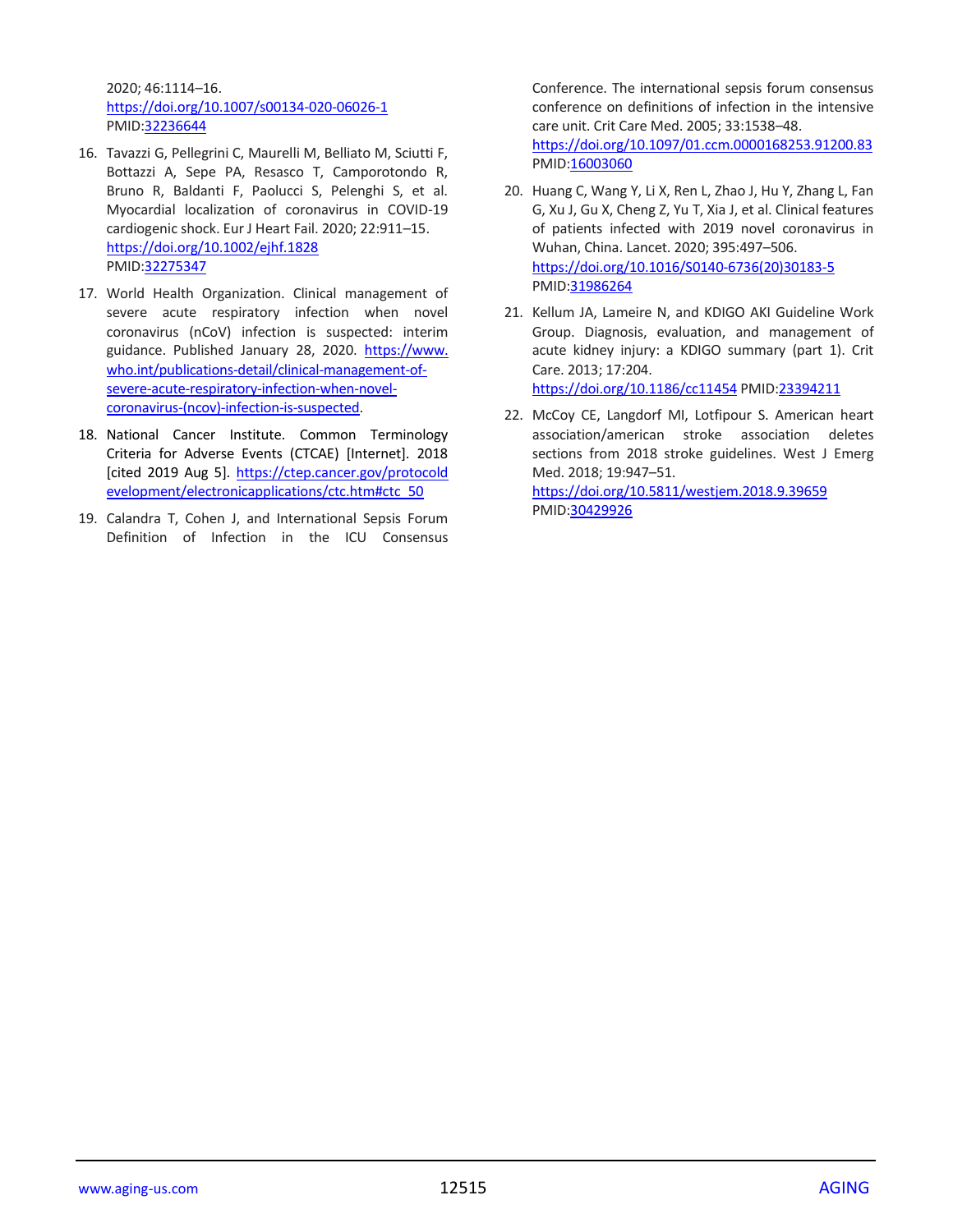2020; 46:1114–16. <https://doi.org/10.1007/s00134-020-06026-1> PMID[:32236644](https://pubmed.ncbi.nlm.nih.gov/32236644)

- 16. Tavazzi G, Pellegrini C, Maurelli M, Belliato M, Sciutti F, Bottazzi A, Sepe PA, Resasco T, Camporotondo R, Bruno R, Baldanti F, Paolucci S, Pelenghi S, et al. Myocardial localization of coronavirus in COVID-19 cardiogenic shock. Eur J Heart Fail. 2020; 22:911–15. <https://doi.org/10.1002/ejhf.1828> PMID[:32275347](https://pubmed.ncbi.nlm.nih.gov/32275347)
- 17. World Health Organization. Clinical management of severe acute respiratory infection when novel coronavirus (nCoV) infection is suspected: interim guidance. Published January 28, 2020. [https://www.](https://www.who.int/publications-detail/clinical-management-of-severe-acute-respiratory-infection-when-novel-coronavirus-(ncov)-infection-is-suspected) [who.int/publications-detail/clinical-management-of](https://www.who.int/publications-detail/clinical-management-of-severe-acute-respiratory-infection-when-novel-coronavirus-(ncov)-infection-is-suspected)[severe-acute-respiratory-infection-when-novel](https://www.who.int/publications-detail/clinical-management-of-severe-acute-respiratory-infection-when-novel-coronavirus-(ncov)-infection-is-suspected)[coronavirus-\(ncov\)-infection-is-suspected.](https://www.who.int/publications-detail/clinical-management-of-severe-acute-respiratory-infection-when-novel-coronavirus-(ncov)-infection-is-suspected)
- 18. National Cancer Institute. Common Terminology Criteria for Adverse Events (CTCAE) [Internet]. 2018 [cited 2019 Aug 5]. [https://ctep.cancer.gov/protocold](https://ctep.cancer.gov/protocoldevelopment/electronicapplications/ctc.htm#ctc_50) [evelopment/electronicapplications/ctc.htm#ctc\\_50](https://ctep.cancer.gov/protocoldevelopment/electronicapplications/ctc.htm#ctc_50)
- 19. Calandra T, Cohen J, and International Sepsis Forum Definition of Infection in the ICU Consensus

Conference. The international sepsis forum consensus conference on definitions of infection in the intensive care unit. Crit Care Med. 2005; 33:1538–48. <https://doi.org/10.1097/01.ccm.0000168253.91200.83> PMI[D:16003060](https://pubmed.ncbi.nlm.nih.gov/16003060)

- 20. Huang C, Wang Y, Li X, Ren L, Zhao J, Hu Y, Zhang L, Fan G, Xu J, Gu X, Cheng Z, Yu T, Xia J, et al. Clinical features of patients infected with 2019 novel coronavirus in Wuhan, China. Lancet. 2020; 395:497–506. [https://doi.org/10.1016/S0140-6736\(20\)30183-5](https://doi.org/10.1016/S0140-6736(20)30183-5) PMI[D:31986264](https://pubmed.ncbi.nlm.nih.gov/31986264)
- 21. Kellum JA, Lameire N, and KDIGO AKI Guideline Work Group. Diagnosis, evaluation, and management of acute kidney injury: a KDIGO summary (part 1). Crit Care. 2013; 17:204. <https://doi.org/10.1186/cc11454> PMID[:23394211](https://pubmed.ncbi.nlm.nih.gov/23394211)
- 22. McCoy CE, Langdorf MI, Lotfipour S. American heart association/american stroke association deletes sections from 2018 stroke guidelines. West J Emerg Med. 2018; 19:947–51. <https://doi.org/10.5811/westjem.2018.9.39659> PMI[D:30429926](https://pubmed.ncbi.nlm.nih.gov/30429926)